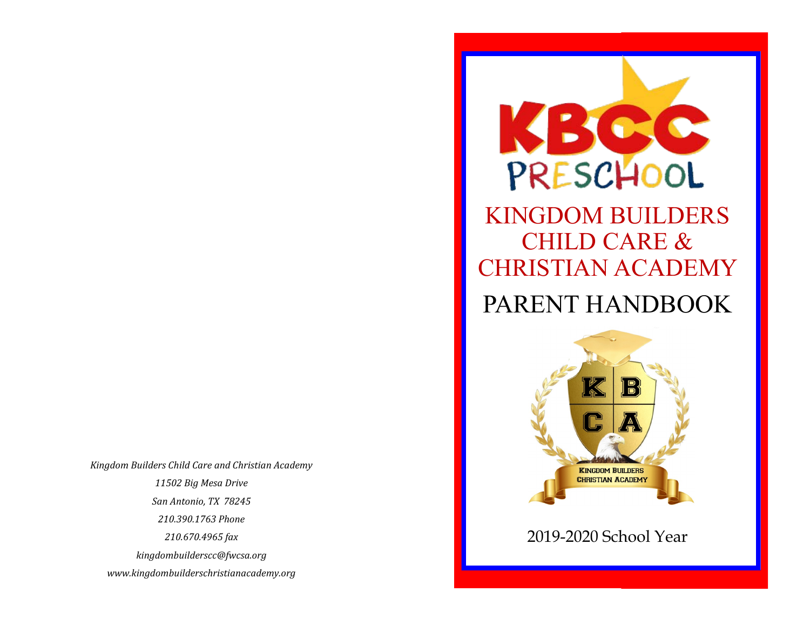*Kingdom Builders Child Care and Christian Academy 11502 Big Mesa Drive San Antonio, TX 78245 210.390.1763 Phone 210.670.4965 fax kingdombuilderscc@fwcsa.org www.kingdombuilderschristianacademy.org*



# CHILD CARE & CHRISTIAN ACADEMY PARENT HANDBOOK



## 2019-2020 School Year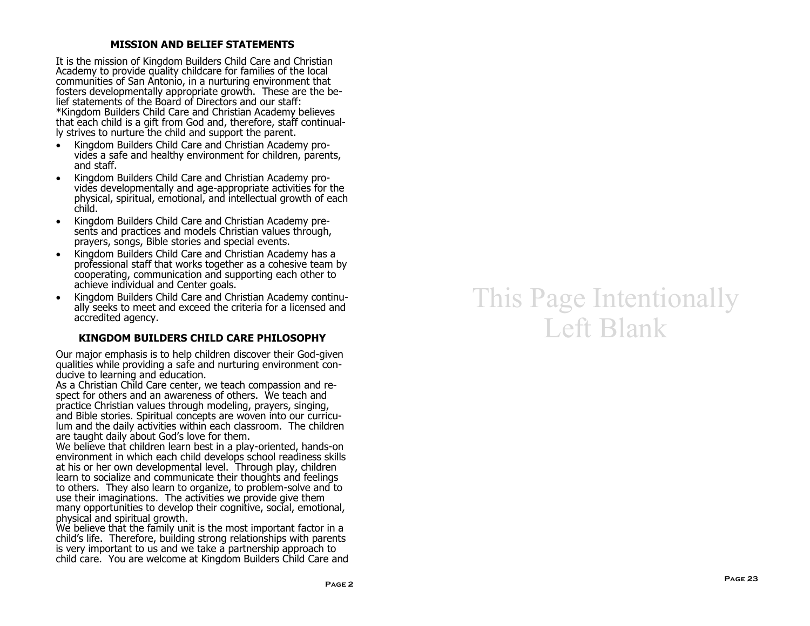#### **MISSION AND BELIEF STATEMENTS**

It is the mission of Kingdom Builders Child Care and Christian Academy to provide quality childcare for families of the local communities of San Antonio, in a nurturing environment that fosters developmentally appropriate growth. These are the belief statements of the Board of Directors and our staff: \*Kingdom Builders Child Care and Christian Academy believes that each child is a gift from God and, therefore, staff continually strives to nurture the child and support the parent.

- Kingdom Builders Child Care and Christian Academy provides a safe and healthy environment for children, parents, and staff.
- Kingdom Builders Child Care and Christian Academy provides developmentally and age-appropriate activities for the physical, spiritual, emotional, and intellectual growth of each child.
- Kingdom Builders Child Care and Christian Academy presents and practices and models Christian values through, prayers, songs, Bible stories and special events.
- Kingdom Builders Child Care and Christian Academy has a professional staff that works together as a cohesive team by cooperating, communication and supporting each other to achieve individual and Center goals.
- Kingdom Builders Child Care and Christian Academy continually seeks to meet and exceed the criteria for a licensed and accredited agency.

#### **KINGDOM BUILDERS CHILD CARE PHILOSOPHY**

Our major emphasis is to help children discover their God-given qualities while providing a safe and nurturing environment conducive to learning and education.

As a Christian Child Care center, we teach compassion and respect for others and an awareness of others. We teach and practice Christian values through modeling, prayers, singing, and Bible stories. Spiritual concepts are woven into our curriculum and the daily activities within each classroom. The children are taught daily about God's love for them.

We believe that children learn best in a play-oriented, hands-on environment in which each child develops school readiness skills at his or her own developmental level. Through play, children learn to socialize and communicate their thoughts and feelings to others. They also learn to organize, to problem-solve and to use their imaginations. The activities we provide give them many opportunities to develop their cognitive, social, emotional, physical and spiritual growth.

We believe that the family unit is the most important factor in a child's life. Therefore, building strong relationships with parents is very important to us and we take a partnership approach to child care. You are welcome at Kingdom Builders Child Care and

## This Page Intentionally Left Blank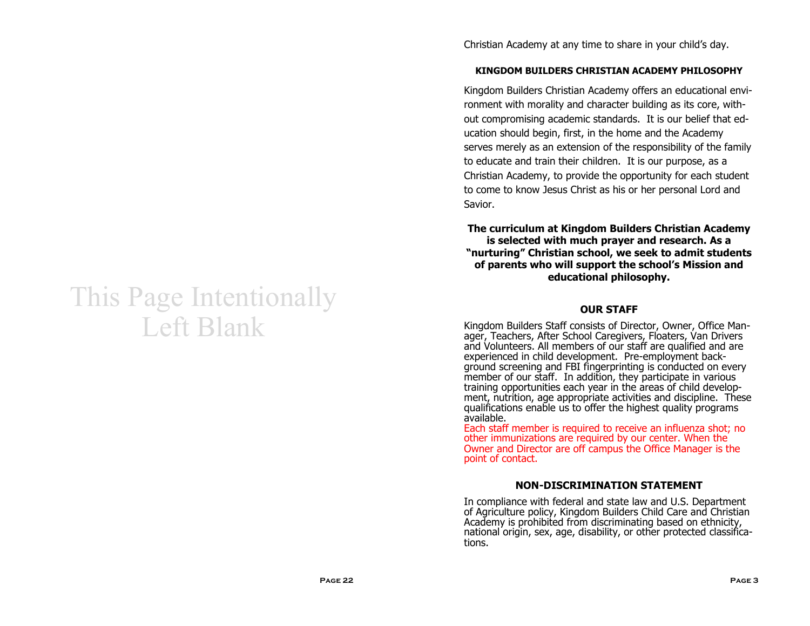## This Page Intentionally Left Blank

Christian Academy at any time to share in your child's day.

## **KINGDOM BUILDERS CHRISTIAN ACADEMY PHILOSOPHY**

Kingdom Builders Christian Academy offers an educational environment with morality and character building as its core, without compromising academic standards. It is our belief that education should begin, first, in the home and the Academy serves merely as an extension of the responsibility of the family to educate and train their children. It is our purpose, as a Christian Academy, to provide the opportunity for each student to come to know Jesus Christ as his or her personal Lord and Savior.

**The curriculum at Kingdom Builders Christian Academy is selected with much prayer and research. As a "nurturing" Christian school, we seek to admit students of parents who will support the school's Mission and educational philosophy.**

#### **OUR STAFF**

Kingdom Builders Staff consists of Director, Owner, Office Manager, Teachers, After School Caregivers, Floaters, Van Drivers and Volunteers. All members of our staff are qualified and are experienced in child development. Pre-employment background screening and FBI fingerprinting is conducted on every member of our staff. In addition, they participate in various training opportunities each year in the areas of child development, nutrition, age appropriate activities and discipline. These qualifications enable us to offer the highest quality programs available.

Each staff member is required to receive an influenza shot; no other immunizations are required by our center. When the Owner and Director are off campus the Office Manager is the point of contact.

#### **NON-DISCRIMINATION STATEMENT**

In compliance with federal and state law and U.S. Department of Agriculture policy, Kingdom Builders Child Care and Christian Academy is prohibited from discriminating based on ethnicity, national origin, sex, age, disability, or other protected classifications.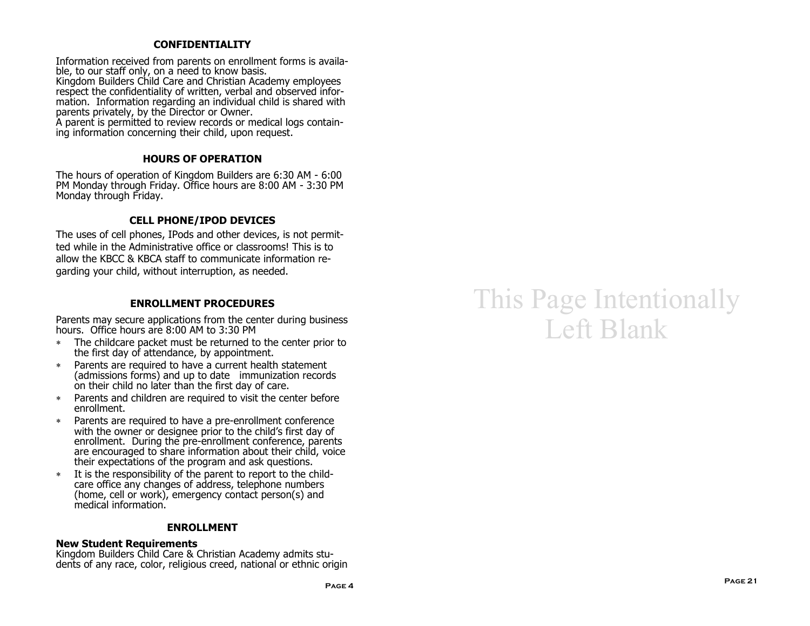#### **CONFIDENTIALITY**

Information received from parents on enrollment forms is available, to our staff only, on a need to know basis. Kingdom Builders Child Care and Christian Academy employees respect the confidentiality of written, verbal and observed information. Information regarding an individual child is shared with parents privately, by the Director or Owner.

A parent is permitted to review records or medical logs containing information concerning their child, upon request.

#### **HOURS OF OPERATION**

The hours of operation of Kingdom Builders are 6:30 AM - 6:00 PM Monday through Friday. Office hours are 8:00 AM - 3:30 PM Monday through Friday.

## **CELL PHONE/IPOD DEVICES**

The uses of cell phones, IPods and other devices, is not permitted while in the Administrative office or classrooms! This is to allow the KBCC & KBCA staff to communicate information regarding your child, without interruption, as needed.

#### **ENROLLMENT PROCEDURES**

Parents may secure applications from the center during business hours. Office hours are 8:00 AM to 3:30 PM

- The childcare packet must be returned to the center prior to the first day of attendance, by appointment.
- Parents are required to have a current health statement (admissions forms) and up to date immunization records on their child no later than the first day of care.
- Parents and children are required to visit the center before enrollment.
- Parents are required to have a pre-enrollment conference with the owner or designee prior to the child's first day of enrollment. During the pre-enrollment conference, parents are encouraged to share information about their child, voice their expectations of the program and ask questions.
- It is the responsibility of the parent to report to the childcare office any changes of address, telephone numbers (home, cell or work), emergency contact person(s) and medical information.

#### **ENROLLMENT**

#### **New Student Requirements**

Kingdom Builders Child Care & Christian Academy admits students of any race, color, religious creed, national or ethnic origin

## This Page Intentionally Left Blank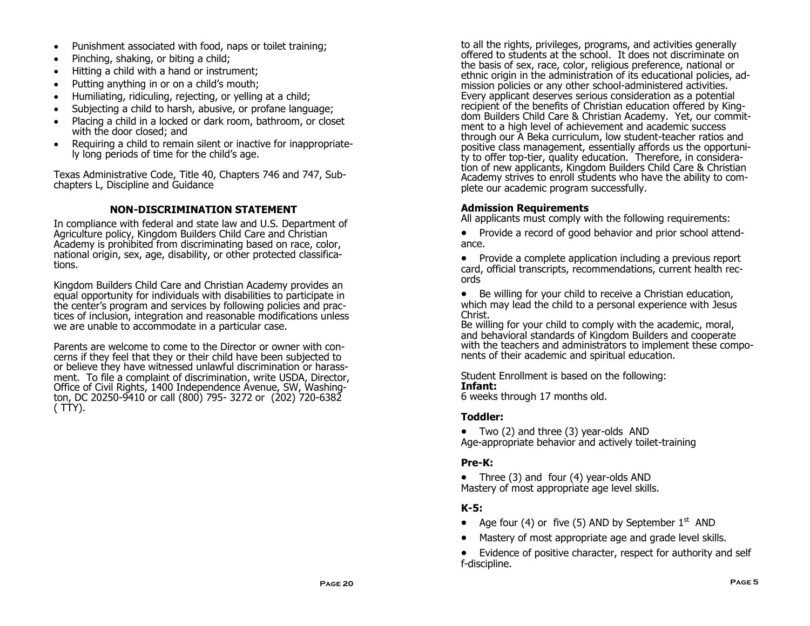- Punishment associated with food, naps or toilet training;
- Pinching, shaking, or biting a child;
- Hitting a child with a hand or instrument;
- Putting anything in or on a child's mouth;
- Humiliating, ridiculing, rejecting, or yelling at a child;
- Subjecting a child to harsh, abusive, or profane language;
- Placing a child in a locked or dark room, bathroom, or closet with the door closed; and
- Requiring a child to remain silent or inactive for inappropriately long periods of time for the child's age.

Texas Administrative Code, Title 40, Chapters 746 and 747, Subchapters L, Discipline and Guidance

## **NON-DISCRIMINATION STATEMENT**

In compliance with federal and state law and U.S. Department of Agriculture policy, Kingdom Builders Child Care and Christian Academy is prohibited from discriminating based on race, color, national origin, sex, age, disability, or other protected classifications.

Kingdom Builders Child Care and Christian Academy provides an equal opportunity for individuals with disabilities to participate in the center's program and services by following policies and practices of inclusion, integration and reasonable modifications unless we are unable to accommodate in a particular case.

Parents are welcome to come to the Director or owner with concerns if they feel that they or their child have been subjected to or believe they have witnessed unlawful discrimination or harassment. To file a complaint of discrimination, write USDA, Director, Office of Civil Rights, 1400 Independence Avenue, SW, Washington, DC 20250-9410 or call (800) 795- 3272 or (202) 720-6382 ( TTY).

to all the rights, privileges, programs, and activities generally offered to students at the school. It does not discriminate on the basis of sex, race, color, religious preference, national or ethnic origin in the administration of its educational policies, admission policies or any other school-administered activities. Every applicant deserves serious consideration as a potential recipient of the benefits of Christian education offered by Kingdom Builders Child Care & Christian Academy. Yet, our commitment to a high level of achievement and academic success through our A Beka curriculum, low student-teacher ratios and positive class management, essentially affords us the opportunity to offer top-tier, quality education. Therefore, in consideration of new applicants, Kingdom Builders Child Care & Christian Academy strives to enroll students who have the ability to complete our academic program successfully.

## **Admission Requirements**

All applicants must comply with the following requirements:

- Provide a record of good behavior and prior school attendance.
- Provide a complete application including a previous report card, official transcripts, recommendations, current health records
- Be willing for your child to receive a Christian education, which may lead the child to a personal experience with Jesus Christ.

Be willing for your child to comply with the academic, moral, and behavioral standards of Kingdom Builders and cooperate with the teachers and administrators to implement these components of their academic and spiritual education.

Student Enrollment is based on the following: **Infant:**

6 weeks through 17 months old.

## **Toddler:**

 Two (2) and three (3) year-olds AND Age-appropriate behavior and actively toilet-training

## **Pre-K:**

• Three (3) and four (4) year-olds AND Mastery of most appropriate age level skills.

## **K-5:**

- Age four (4) or five (5) AND by September  $1<sup>st</sup>$  AND
- Mastery of most appropriate age and grade level skills.

 Evidence of positive character, respect for authority and self f-discipline.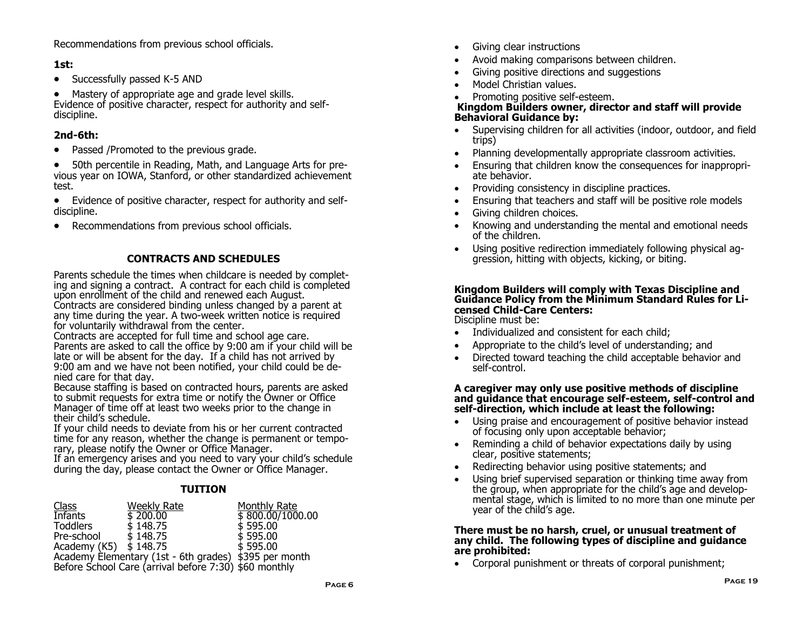Recommendations from previous school officials.

## **1st:**

• Successfully passed K-5 AND

 Mastery of appropriate age and grade level skills. Evidence of positive character, respect for authority and selfdiscipline.

## **2nd-6th:**

- Passed /Promoted to the previous grade.
- 50th percentile in Reading, Math, and Language Arts for previous year on IOWA, Stanford, or other standardized achievement test.
- Evidence of positive character, respect for authority and selfdiscipline.
- Recommendations from previous school officials.

## **CONTRACTS AND SCHEDULES**

Parents schedule the times when childcare is needed by completing and signing a contract. A contract for each child is completed upon enrollment of the child and renewed each August. Contracts are considered binding unless changed by a parent at any time during the year. A two-week written notice is required

for voluntarily withdrawal from the center.

Contracts are accepted for full time and school age care. Parents are asked to call the office by 9:00 am if your child will be late or will be absent for the day. If a child has not arrived by 9:00 am and we have not been notified, your child could be denied care for that day.

Because staffing is based on contracted hours, parents are asked to submit requests for extra time or notify the Owner or Office Manager of time off at least two weeks prior to the change in their child's schedule.

If your child needs to deviate from his or her current contracted time for any reason, whether the change is permanent or temporary, please notify the Owner or Office Manager.

If an emergency arises and you need to vary your child's schedule during the day, please contact the Owner or Office Manager.

## **TUITION**

| <b>Class</b>                                          | Weekly Rate | Monthly Rate                 |  |
|-------------------------------------------------------|-------------|------------------------------|--|
| <b>Infants</b>                                        | \$200.00    | $\frac{1}{2}$ 800.00/1000.00 |  |
| <b>Toddlers</b>                                       | \$148.75    | \$595.00                     |  |
| Pre-school                                            | \$148.75    | \$595.00                     |  |
| Academy (K5) $\sharp$ 148.75                          |             | \$595.00                     |  |
| Academy Elementary (1st - 6th grades) \$395 per month |             |                              |  |
| Before School Care (arrival before 7:30) \$60 monthly |             |                              |  |

- Giving clear instructions
- Avoid making comparisons between children.
- Giving positive directions and suggestions
- Model Christian values.
- Promoting positive self-esteem.

#### **Kingdom Builders owner, director and staff will provide Behavioral Guidance by:**

- Supervising children for all activities (indoor, outdoor, and field trips)
- Planning developmentally appropriate classroom activities.
- Ensuring that children know the consequences for inappropriate behavior.
- Providing consistency in discipline practices.
- Ensuring that teachers and staff will be positive role models
- Giving children choices.
- Knowing and understanding the mental and emotional needs of the children.
- Using positive redirection immediately following physical aggression, hitting with objects, kicking, or biting.

#### **Kingdom Builders will comply with Texas Discipline and Guidance Policy from the Minimum Standard Rules for Licensed Child-Care Centers:** Discipline must be:

• Individualized and consistent for each child:

- Appropriate to the child's level of understanding; and
- Directed toward teaching the child acceptable behavior and self-control.

#### **A caregiver may only use positive methods of discipline and guidance that encourage self-esteem, self-control and self-direction, which include at least the following:**

- Using praise and encouragement of positive behavior instead of focusing only upon acceptable behavior;
- Reminding a child of behavior expectations daily by using clear, positive statements;
- Redirecting behavior using positive statements; and
- Using brief supervised separation or thinking time away from the group, when appropriate for the child's age and developmental stage, which is limited to no more than one minute per year of the child's age.

#### **There must be no harsh, cruel, or unusual treatment of any child. The following types of discipline and guidance are prohibited:**

Corporal punishment or threats of corporal punishment;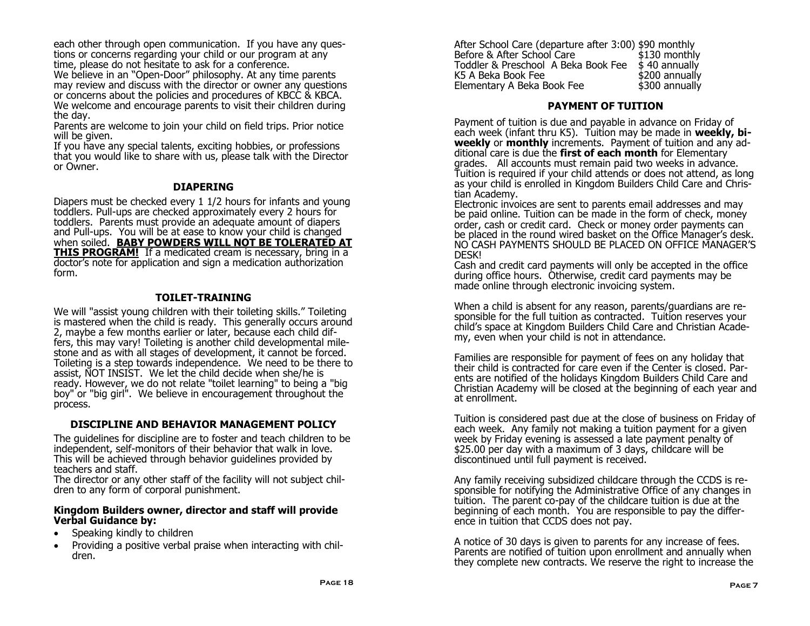each other through open communication. If you have any questions or concerns regarding your child or our program at any time, please do not hesitate to ask for a conference.

We believe in an "Open-Door" philosophy. At any time parents may review and discuss with the director or owner any questions or concerns about the policies and procedures of KBCC & KBCA. We welcome and encourage parents to visit their children during the day.

Parents are welcome to join your child on field trips. Prior notice will be given.

If you have any special talents, exciting hobbies, or professions that you would like to share with us, please talk with the Director or Owner.

#### **DIAPERING**

Diapers must be checked every 1 1/2 hours for infants and young toddlers. Pull-ups are checked approximately every 2 hours for toddlers. Parents must provide an adequate amount of diapers and Pull-ups. You will be at ease to know your child is changed when soiled. **BABY POWDERS WILL NOT BE TOLERATED AT THIS PROGRAM!** If a medicated cream is necessary, bring in a doctor's note for application and sign a medication authorization form.

## **TOILET-TRAINING**

We will "assist young children with their toileting skills." Toileting is mastered when the child is ready. This generally occurs around 2, maybe a few months earlier or later, because each child differs, this may vary! Toileting is another child developmental milestone and as with all stages of development, it cannot be forced. Toileting is a step towards independence. We need to be there to assist, NOT INSIST. We let the child decide when she/he is ready. However, we do not relate "toilet learning" to being a "big boy" or "big girl". We believe in encouragement throughout the process.

#### **DISCIPLINE AND BEHAVIOR MANAGEMENT POLICY**

The guidelines for discipline are to foster and teach children to be independent, self-monitors of their behavior that walk in love. This will be achieved through behavior guidelines provided by teachers and staff.

The director or any other staff of the facility will not subject children to any form of corporal punishment.

#### **Kingdom Builders owner, director and staff will provide Verbal Guidance by:**

- Speaking kindly to children
- Providing a positive verbal praise when interacting with children.

After School Care (departure after 3:00) \$90 monthly Before & After School Care Toddler & Preschool A Beka Book Fee \$40 annually K5 A Beka Book Fee \$40 s K5 A Beka Book Fee Elementary A Beka Book Fee \$300 annually

#### **PAYMENT OF TUITION**

Payment of tuition is due and payable in advance on Friday of each week (infant thru K5). Tuition may be made in **weekly, biweekly** or **monthly** increments. Payment of tuition and any additional care is due the **first of each month** for Elementary grades. All accounts must remain paid two weeks in advance. Tuition is required if your child attends or does not attend, as long as your child is enrolled in Kingdom Builders Child Care and Christian Academy.

Electronic invoices are sent to parents email addresses and may be paid online. Tuition can be made in the form of check, money order, cash or credit card. Check or money order payments can be placed in the round wired basket on the Office Manager's desk. NO CASH PAYMENTS SHOULD BE PLACED ON OFFICE MANAGER'S DESK!

Cash and credit card payments will only be accepted in the office during office hours. Otherwise, credit card payments may be made online through electronic invoicing system.

When a child is absent for any reason, parents/guardians are responsible for the full tuition as contracted. Tuition reserves your child's space at Kingdom Builders Child Care and Christian Academy, even when your child is not in attendance.

Families are responsible for payment of fees on any holiday that their child is contracted for care even if the Center is closed. Parents are notified of the holidays Kingdom Builders Child Care and Christian Academy will be closed at the beginning of each year and at enrollment.

Tuition is considered past due at the close of business on Friday of each week. Any family not making a tuition payment for a given week by Friday evening is assessed a late payment penalty of \$25.00 per day with a maximum of 3 days, childcare will be discontinued until full payment is received.

Any family receiving subsidized childcare through the CCDS is responsible for notifying the Administrative Office of any changes in tuition. The parent co-pay of the childcare tuition is due at the beginning of each month. You are responsible to pay the difference in tuition that CCDS does not pay.

A notice of 30 days is given to parents for any increase of fees. Parents are notified of tuition upon enrollment and annually when they complete new contracts. We reserve the right to increase the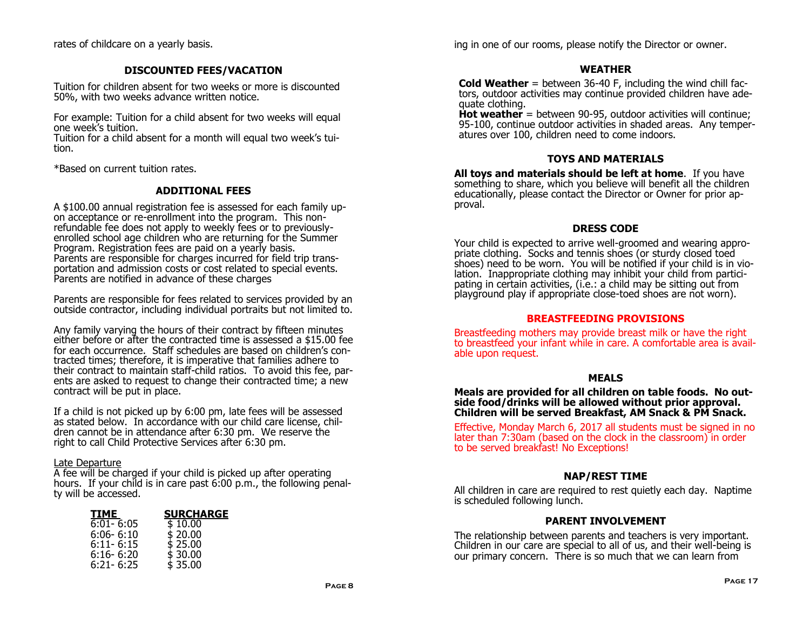rates of childcare on a yearly basis.

#### **DISCOUNTED FEES/VACATION**

Tuition for children absent for two weeks or more is discounted 50%, with two weeks advance written notice.

For example: Tuition for a child absent for two weeks will equal one week's tuition.

Tuition for a child absent for a month will equal two week's tuition.

\*Based on current tuition rates.

#### **ADDITIONAL FEES**

A \$100.00 annual registration fee is assessed for each family upon acceptance or re-enrollment into the program. This nonrefundable fee does not apply to weekly fees or to previouslyenrolled school age children who are returning for the Summer Program. Registration fees are paid on a yearly basis. Parents are responsible for charges incurred for field trip transportation and admission costs or cost related to special events. Parents are notified in advance of these charges

Parents are responsible for fees related to services provided by an outside contractor, including individual portraits but not limited to.

Any family varying the hours of their contract by fifteen minutes either before or after the contracted time is assessed a \$15.00 fee for each occurrence. Staff schedules are based on children's contracted times; therefore, it is imperative that families adhere to their contract to maintain staff-child ratios. To avoid this fee, parents are asked to request to change their contracted time; a new contract will be put in place.

If a child is not picked up by 6:00 pm, late fees will be assessed as stated below. In accordance with our child care license, children cannot be in attendance after 6:30 pm. We reserve the right to call Child Protective Services after 6:30 pm.

#### Late Departure

A fee will be charged if your child is picked up after operating hours. If your child is in care past 6:00 p.m., the following penalty will be accessed.

| TIME          | <b>SURCHARGE</b> |
|---------------|------------------|
| $6:01 - 6:05$ | \$10.00          |
| $6:06 - 6:10$ | \$20.00          |
| $6:11 - 6:15$ | \$25.00          |
| $6:16 - 6:20$ | \$30.00          |
| $6:21 - 6:25$ | \$35.00          |

ing in one of our rooms, please notify the Director or owner.

#### **WEATHER**

**Cold Weather** = between 36-40 F, including the wind chill factors, outdoor activities may continue provided children have adequate clothing.

**Hot weather** = between 90-95, outdoor activities will continue; 95-100, continue outdoor activities in shaded areas. Any temperatures over 100, children need to come indoors.

#### **TOYS AND MATERIALS**

**All toys and materials should be left at home**. If you have something to share, which you believe will benefit all the children educationally, please contact the Director or Owner for prior approval.

#### **DRESS CODE**

Your child is expected to arrive well-groomed and wearing appropriate clothing. Socks and tennis shoes (or sturdy closed toed shoes) need to be worn. You will be notified if your child is in violation. Inappropriate clothing may inhibit your child from participating in certain activities, (i.e.: a child may be sitting out from playground play if appropriate close-toed shoes are not worn).

#### **BREASTFEEDING PROVISIONS**

Breastfeeding mothers may provide breast milk or have the right to breastfeed your infant while in care. A comfortable area is available upon request.

#### **MEALS**

**Meals are provided for all children on table foods. No outside food/drinks will be allowed without prior approval. Children will be served Breakfast, AM Snack & PM Snack.** 

Effective, Monday March 6, 2017 all students must be signed in no later than 7:30am (based on the clock in the classroom) in order to be served breakfast! No Exceptions!

#### **NAP/REST TIME**

All children in care are required to rest quietly each day. Naptime is scheduled following lunch.

#### **PARENT INVOLVEMENT**

The relationship between parents and teachers is very important. Children in our care are special to all of us, and their well-being is our primary concern. There is so much that we can learn from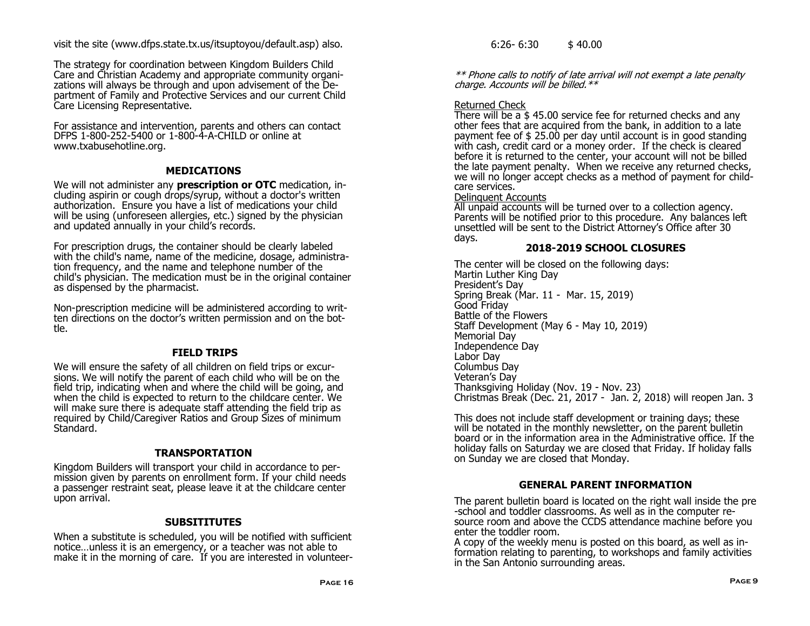visit the site (www.dfps.state.tx.us/itsuptoyou/default.asp) also.

The strategy for coordination between Kingdom Builders Child Care and Christian Academy and appropriate community organizations will always be through and upon advisement of the Department of Family and Protective Services and our current Child Care Licensing Representative.

For assistance and intervention, parents and others can contact DFPS 1-800-252-5400 or 1-800-4-A-CHILD or online at www.txabusehotline.org.

## **MEDICATIONS**

We will not administer any **prescription or OTC** medication, including aspirin or cough drops/syrup, without a doctor's written authorization. Ensure you have a list of medications your child will be using (unforeseen allergies, etc.) signed by the physician and updated annually in your child's records.

For prescription drugs, the container should be clearly labeled with the child's name, name of the medicine, dosage, administration frequency, and the name and telephone number of the child's physician. The medication must be in the original container as dispensed by the pharmacist.

Non-prescription medicine will be administered according to written directions on the doctor's written permission and on the bottle.

## **FIELD TRIPS**

We will ensure the safety of all children on field trips or excursions. We will notify the parent of each child who will be on the field trip, indicating when and where the child will be going, and when the child is expected to return to the childcare center. We will make sure there is adequate staff attending the field trip as required by Child/Caregiver Ratios and Group Sizes of minimum Standard.

## **TRANSPORTATION**

Kingdom Builders will transport your child in accordance to permission given by parents on enrollment form. If your child needs a passenger restraint seat, please leave it at the childcare center upon arrival.

## **SUBSITITUTES**

When a substitute is scheduled, you will be notified with sufficient notice…unless it is an emergency, or a teacher was not able to make it in the morning of care. If you are interested in volunteer $6:26 - 6:30$  \$ 40.00

\*\* Phone calls to notify of late arrival will not exempt a late penalty charge. Accounts will be billed. $**$ 

## Returned Check

There will be a \$ 45.00 service fee for returned checks and any other fees that are acquired from the bank, in addition to a late payment fee of \$ 25.00 per day until account is in good standing with cash, credit card or a money order. If the check is cleared before it is returned to the center, your account will not be billed the late payment penalty. When we receive any returned checks, we will no longer accept checks as a method of payment for childcare services.

## Delinquent Accounts

All unpaid accounts will be turned over to a collection agency. Parents will be notified prior to this procedure. Any balances left unsettled will be sent to the District Attorney's Office after 30 days.

## **2018-2019 SCHOOL CLOSURES**

The center will be closed on the following days: Martin Luther King Day President's Day Spring Break (Mar. 11 - Mar. 15, 2019) Good Friday Battle of the Flowers Staff Development (May 6 - May 10, 2019) Memorial Day Independence Day Labor Day Columbus Day Veteran's Day Thanksgiving Holiday (Nov. 19 - Nov. 23) Christmas Break (Dec. 21, 2017 - Jan. 2, 2018) will reopen Jan. 3

This does not include staff development or training days; these will be notated in the monthly newsletter, on the parent bulletin board or in the information area in the Administrative office. If the holiday falls on Saturday we are closed that Friday. If holiday falls on Sunday we are closed that Monday.

## **GENERAL PARENT INFORMATION**

The parent bulletin board is located on the right wall inside the pre -school and toddler classrooms. As well as in the computer resource room and above the CCDS attendance machine before you enter the toddler room.

A copy of the weekly menu is posted on this board, as well as information relating to parenting, to workshops and family activities in the San Antonio surrounding areas.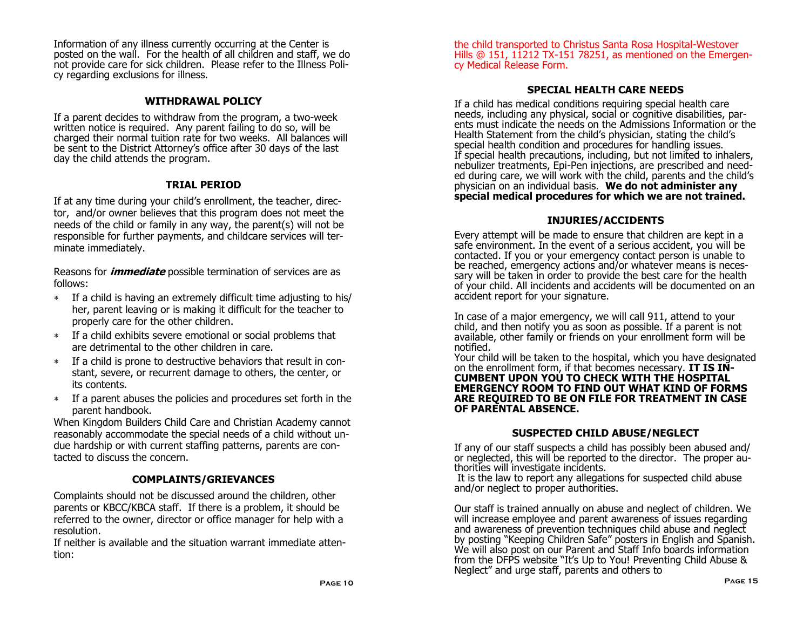Information of any illness currently occurring at the Center is posted on the wall. For the health of all children and staff, we do not provide care for sick children. Please refer to the Illness Policy regarding exclusions for illness.

## **WITHDRAWAL POLICY**

If a parent decides to withdraw from the program, a two-week written notice is required. Any parent failing to do so, will be charged their normal tuition rate for two weeks. All balances will be sent to the District Attorney's office after 30 days of the last day the child attends the program.

## **TRIAL PERIOD**

If at any time during your child's enrollment, the teacher, director, and/or owner believes that this program does not meet the needs of the child or family in any way, the parent(s) will not be responsible for further payments, and childcare services will terminate immediately.

Reasons for **immediate** possible termination of services are as follows:

- If a child is having an extremely difficult time adjusting to his/ her, parent leaving or is making it difficult for the teacher to properly care for the other children.
- If a child exhibits severe emotional or social problems that are detrimental to the other children in care.
- If a child is prone to destructive behaviors that result in constant, severe, or recurrent damage to others, the center, or its contents.
- If a parent abuses the policies and procedures set forth in the parent handbook.

When Kingdom Builders Child Care and Christian Academy cannot reasonably accommodate the special needs of a child without undue hardship or with current staffing patterns, parents are contacted to discuss the concern.

## **COMPLAINTS/GRIEVANCES**

Complaints should not be discussed around the children, other parents or KBCC/KBCA staff. If there is a problem, it should be referred to the owner, director or office manager for help with a resolution.

If neither is available and the situation warrant immediate attention:

the child transported to Christus Santa Rosa Hospital-Westover Hills @ 151, 11212 TX-151 78251, as mentioned on the Emergency Medical Release Form.

## **SPECIAL HEALTH CARE NEEDS**

If a child has medical conditions requiring special health care needs, including any physical, social or cognitive disabilities, parents must indicate the needs on the Admissions Information or the Health Statement from the child's physician, stating the child's special health condition and procedures for handling issues. If special health precautions, including, but not limited to inhalers, nebulizer treatments, Epi-Pen injections, are prescribed and needed during care, we will work with the child, parents and the child's physician on an individual basis. **We do not administer any special medical procedures for which we are not trained.** 

## **INJURIES/ACCIDENTS**

Every attempt will be made to ensure that children are kept in a safe environment. In the event of a serious accident, you will be contacted. If you or your emergency contact person is unable to be reached, emergency actions and/or whatever means is necessary will be taken in order to provide the best care for the health of your child. All incidents and accidents will be documented on an accident report for your signature.

In case of a major emergency, we will call 911, attend to your child, and then notify you as soon as possible. If a parent is not available, other family or friends on your enrollment form will be notified.

Your child will be taken to the hospital, which you have designated on the enrollment form, if that becomes necessary. **IT IS IN-CUMBENT UPON YOU TO CHECK WITH THE HOSPITAL EMERGENCY ROOM TO FIND OUT WHAT KIND OF FORMS ARE REQUIRED TO BE ON FILE FOR TREATMENT IN CASE OF PARENTAL ABSENCE.**

#### **SUSPECTED CHILD ABUSE/NEGLECT**

If any of our staff suspects a child has possibly been abused and/ or neglected, this will be reported to the director. The proper authorities will investigate incidents.

It is the law to report any allegations for suspected child abuse and/or neglect to proper authorities.

Our staff is trained annually on abuse and neglect of children. We will increase employee and parent awareness of issues regarding and awareness of prevention techniques child abuse and neglect by posting "Keeping Children Safe" posters in English and Spanish. We will also post on our Parent and Staff Info boards information from the DFPS website "It's Up to You! Preventing Child Abuse & Neglect" and urge staff, parents and others to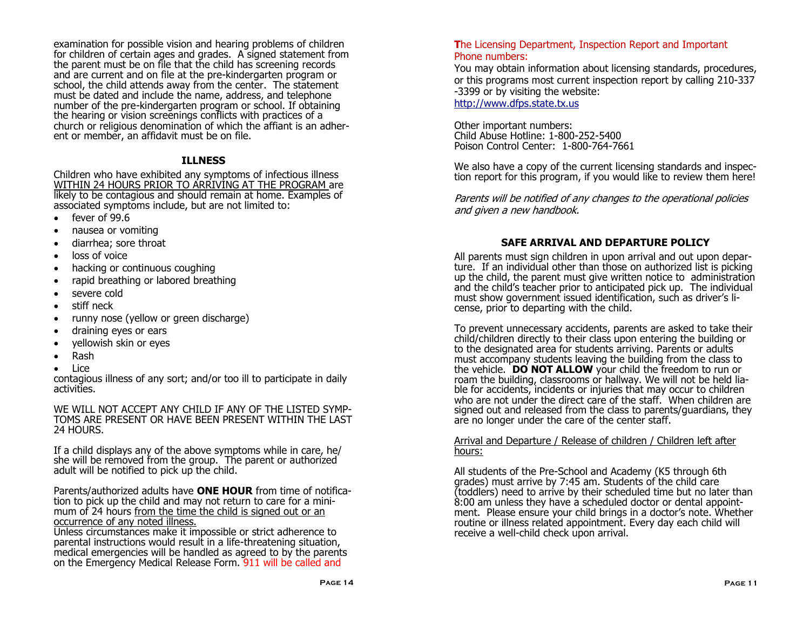examination for possible vision and hearing problems of children for children of certain ages and grades. A signed statement from the parent must be on file that the child has screening records and are current and on file at the pre-kindergarten program or school, the child attends away from the center. The statement must be dated and include the name, address, and telephone number of the pre-kindergarten program or school. If obtaining the hearing or vision screenings conflicts with practices of a church or religious denomination of which the affiant is an adherent or member, an affidavit must be on file.

## **ILLNESS**

Children who have exhibited any symptoms of infectious illness WITHIN 24 HOURS PRIOR TO ARRIVING AT THE PROGRAM are likely to be contagious and should remain at home. Examples of associated symptoms include, but are not limited to:

- fever of 99.6
- nausea or vomiting
- diarrhea; sore throat
- loss of voice
- hacking or continuous coughing
- rapid breathing or labored breathing
- severe cold
- stiff neck
- runny nose (yellow or green discharge)
- draining eyes or ears
- yellowish skin or eyes
- Rash
- Lice

contagious illness of any sort; and/or too ill to participate in daily activities.

WE WILL NOT ACCEPT ANY CHILD IF ANY OF THE LISTED SYMP-TOMS ARE PRESENT OR HAVE BEEN PRESENT WITHIN THE LAST 24 HOURS.

If a child displays any of the above symptoms while in care, he/ she will be removed from the group. The parent or authorized adult will be notified to pick up the child.

Parents/authorized adults have **ONE HOUR** from time of notification to pick up the child and may not return to care for a minimum of 24 hours from the time the child is signed out or an occurrence of any noted illness.

Unless circumstances make it impossible or strict adherence to parental instructions would result in a life-threatening situation, medical emergencies will be handled as agreed to by the parents on the Emergency Medical Release Form. 911 will be called and

#### **T**he Licensing Department, Inspection Report and Important Phone numbers:

You may obtain information about licensing standards, procedures, or this programs most current inspection report by calling 210-337 -3399 or by visiting the website: <http://www.dfps.state.tx.us>

Other important numbers: Child Abuse Hotline: 1-800-252-5400 Poison Control Center: 1-800-764-7661

We also have a copy of the current licensing standards and inspection report for this program, if you would like to review them here!

Parents will be notified of any changes to the operational policies and given a new handbook.

#### **SAFE ARRIVAL AND DEPARTURE POLICY**

All parents must sign children in upon arrival and out upon departure. If an individual other than those on authorized list is picking up the child, the parent must give written notice to administration and the child's teacher prior to anticipated pick up. The individual must show government issued identification, such as driver's license, prior to departing with the child.

To prevent unnecessary accidents, parents are asked to take their child/children directly to their class upon entering the building or to the designated area for students arriving. Parents or adults must accompany students leaving the building from the class to the vehicle. **DO NOT ALLOW** your child the freedom to run or roam the building, classrooms or hallway. We will not be held liable for accidents, incidents or injuries that may occur to children who are not under the direct care of the staff. When children are signed out and released from the class to parents/guardians, they are no longer under the care of the center staff.

#### Arrival and Departure / Release of children / Children left after hours:

All students of the Pre-School and Academy (K5 through 6th grades) must arrive by 7:45 am. Students of the child care (toddlers) need to arrive by their scheduled time but no later than 8:00 am unless they have a scheduled doctor or dental appointment. Please ensure your child brings in a doctor's note. Whether routine or illness related appointment. Every day each child will receive a well-child check upon arrival.